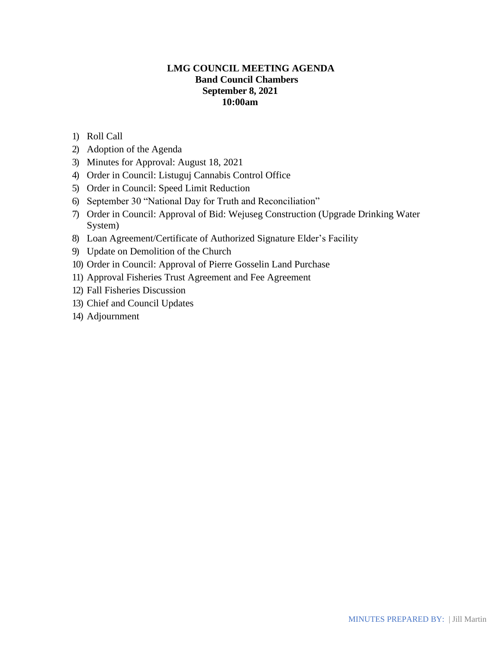# **LMG COUNCIL MEETING AGENDA Band Council Chambers September 8, 2021 10:00am**

- 1) Roll Call
- 2) Adoption of the Agenda
- 3) Minutes for Approval: August 18, 2021
- 4) Order in Council: Listuguj Cannabis Control Office
- 5) Order in Council: Speed Limit Reduction
- 6) September 30 "National Day for Truth and Reconciliation"
- 7) Order in Council: Approval of Bid: Wejuseg Construction (Upgrade Drinking Water System)
- 8) Loan Agreement/Certificate of Authorized Signature Elder's Facility
- 9) Update on Demolition of the Church
- 10) Order in Council: Approval of Pierre Gosselin Land Purchase
- 11) Approval Fisheries Trust Agreement and Fee Agreement
- 12) Fall Fisheries Discussion
- 13) Chief and Council Updates
- 14) Adjournment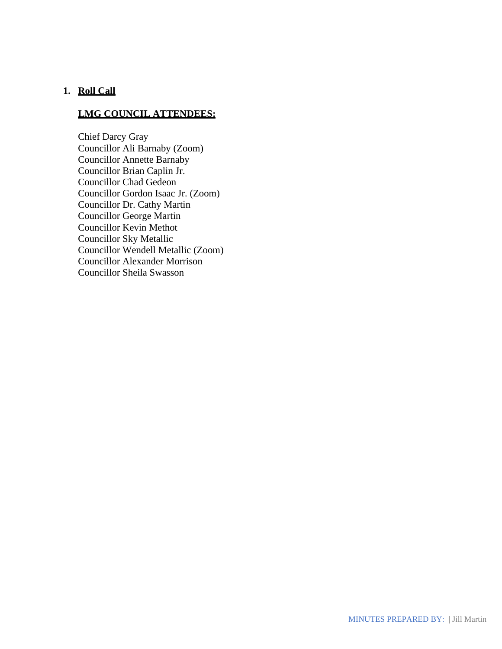### **1. Roll Call**

# **LMG COUNCIL ATTENDEES:**

Chief Darcy Gray Councillor Ali Barnaby (Zoom) Councillor Annette Barnaby Councillor Brian Caplin Jr. Councillor Chad Gedeon Councillor Gordon Isaac Jr. (Zoom) Councillor Dr. Cathy Martin Councillor George Martin Councillor Kevin Methot Councillor Sky Metallic Councillor Wendell Metallic (Zoom) Councillor Alexander Morrison Councillor Sheila Swasson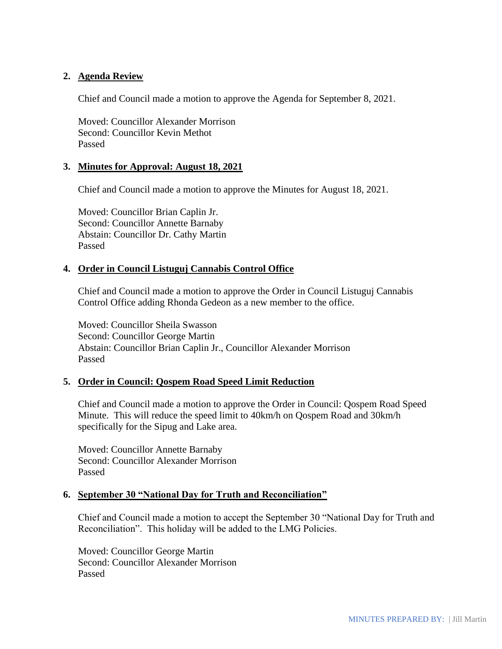## **2. Agenda Review**

Chief and Council made a motion to approve the Agenda for September 8, 2021.

Moved: Councillor Alexander Morrison Second: Councillor Kevin Methot Passed

### **3. Minutes for Approval: August 18, 2021**

Chief and Council made a motion to approve the Minutes for August 18, 2021.

Moved: Councillor Brian Caplin Jr. Second: Councillor Annette Barnaby Abstain: Councillor Dr. Cathy Martin Passed

### **4. Order in Council Listuguj Cannabis Control Office**

Chief and Council made a motion to approve the Order in Council Listuguj Cannabis Control Office adding Rhonda Gedeon as a new member to the office.

Moved: Councillor Sheila Swasson Second: Councillor George Martin Abstain: Councillor Brian Caplin Jr., Councillor Alexander Morrison Passed

## **5. Order in Council: Qospem Road Speed Limit Reduction**

Chief and Council made a motion to approve the Order in Council: Qospem Road Speed Minute. This will reduce the speed limit to 40km/h on Qospem Road and 30km/h specifically for the Sipug and Lake area.

Moved: Councillor Annette Barnaby Second: Councillor Alexander Morrison Passed

### **6. September 30 "National Day for Truth and Reconciliation"**

Chief and Council made a motion to accept the September 30 "National Day for Truth and Reconciliation". This holiday will be added to the LMG Policies.

Moved: Councillor George Martin Second: Councillor Alexander Morrison Passed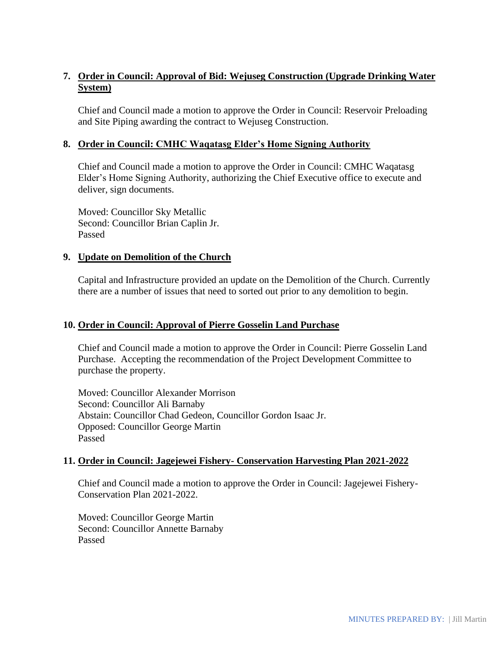# **7. Order in Council: Approval of Bid: Wejuseg Construction (Upgrade Drinking Water System)**

Chief and Council made a motion to approve the Order in Council: Reservoir Preloading and Site Piping awarding the contract to Wejuseg Construction.

# **8. Order in Council: CMHC Waqatasg Elder's Home Signing Authority**

Chief and Council made a motion to approve the Order in Council: CMHC Waqatasg Elder's Home Signing Authority, authorizing the Chief Executive office to execute and deliver, sign documents.

Moved: Councillor Sky Metallic Second: Councillor Brian Caplin Jr. Passed

## **9. Update on Demolition of the Church**

Capital and Infrastructure provided an update on the Demolition of the Church. Currently there are a number of issues that need to sorted out prior to any demolition to begin.

### **10. Order in Council: Approval of Pierre Gosselin Land Purchase**

Chief and Council made a motion to approve the Order in Council: Pierre Gosselin Land Purchase. Accepting the recommendation of the Project Development Committee to purchase the property.

Moved: Councillor Alexander Morrison Second: Councillor Ali Barnaby Abstain: Councillor Chad Gedeon, Councillor Gordon Isaac Jr. Opposed: Councillor George Martin Passed

## **11. Order in Council: Jagejewei Fishery- Conservation Harvesting Plan 2021-2022**

Chief and Council made a motion to approve the Order in Council: Jagejewei Fishery-Conservation Plan 2021-2022.

Moved: Councillor George Martin Second: Councillor Annette Barnaby Passed